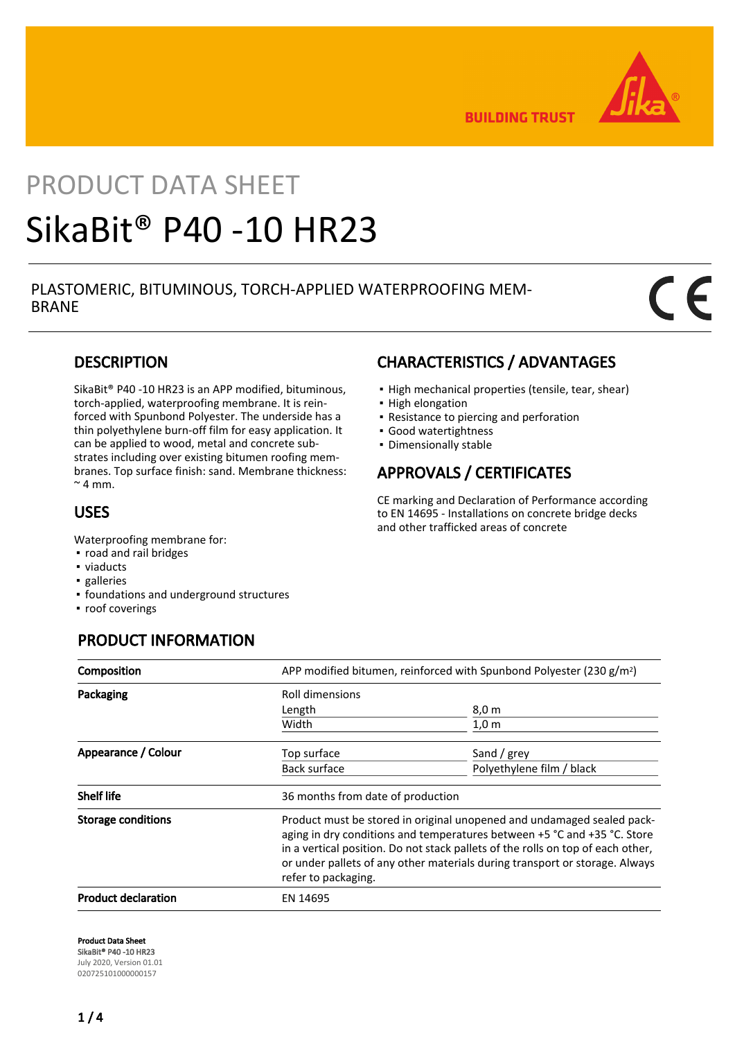

**BUILDING TRUST** 

# PRODUCT DATA SHEET SikaBit® P40 -10 HR23

## PLASTOMERIC, BITUMINOUS, TORCH-APPLIED WATERPROOFING MEM-BRANE

# **DESCRIPTION**

SikaBit® P40 -10 HR23 is an APP modified, bituminous, torch-applied, waterproofing membrane. It is reinforced with Spunbond Polyester. The underside has a thin polyethylene burn-off film for easy application. It can be applied to wood, metal and concrete substrates including over existing bitumen roofing membranes. Top surface finish: sand. Membrane thickness:  $~\sim$  4 mm.

# USES

Waterproofing membrane for:

- road and rail bridges
- viaducts
- galleries
- foundations and underground structures
- roof coverings

# PRODUCT INFORMATION

# CHARACTERISTICS / ADVANTAGES

- High mechanical properties (tensile, tear, shear)
- High elongation
- Resistance to piercing and perforation
- Good watertightness
- Dimensionally stable

# APPROVALS / CERTIFICATES

CE marking and Declaration of Performance according to EN 14695 - Installations on concrete bridge decks and other trafficked areas of concrete

| Composition                | APP modified bitumen, reinforced with Spunbond Polyester (230 g/m <sup>2</sup> )                                                                                                                                                                                                                                                            |                           |  |
|----------------------------|---------------------------------------------------------------------------------------------------------------------------------------------------------------------------------------------------------------------------------------------------------------------------------------------------------------------------------------------|---------------------------|--|
| Packaging                  | Roll dimensions                                                                                                                                                                                                                                                                                                                             |                           |  |
|                            | Length                                                                                                                                                                                                                                                                                                                                      | 8,0 m                     |  |
|                            | Width                                                                                                                                                                                                                                                                                                                                       | 1,0 m                     |  |
| Appearance / Colour        | Top surface                                                                                                                                                                                                                                                                                                                                 | Sand / grey               |  |
|                            | Back surface                                                                                                                                                                                                                                                                                                                                | Polyethylene film / black |  |
| <b>Shelf life</b>          | 36 months from date of production                                                                                                                                                                                                                                                                                                           |                           |  |
| <b>Storage conditions</b>  | Product must be stored in original unopened and undamaged sealed pack-<br>aging in dry conditions and temperatures between +5 °C and +35 °C. Store<br>in a vertical position. Do not stack pallets of the rolls on top of each other,<br>or under pallets of any other materials during transport or storage. Always<br>refer to packaging. |                           |  |
| <b>Product declaration</b> | EN 14695                                                                                                                                                                                                                                                                                                                                    |                           |  |

Product Data Sheet SikaBit® P40 -10 HR23 July 2020, Version 01.01 020725101000000157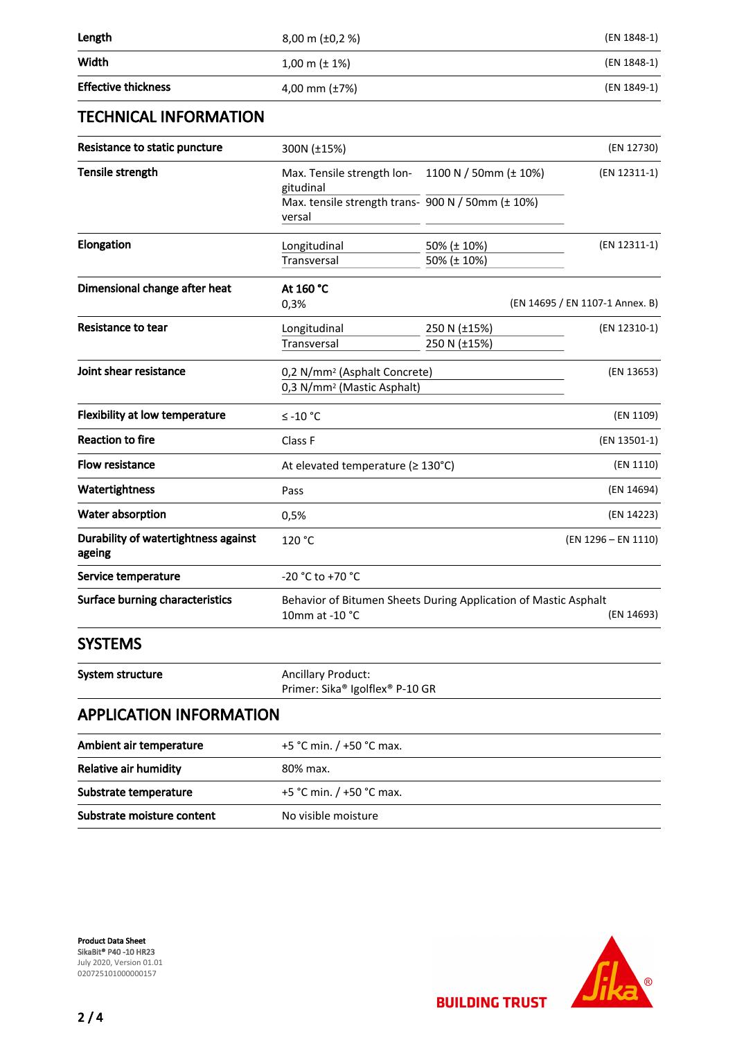| Length                                         | 8,00 m (±0,2 %)                                                                                 |                              | (EN 1848-1)                     |
|------------------------------------------------|-------------------------------------------------------------------------------------------------|------------------------------|---------------------------------|
| Width                                          | $1,00 \text{ m } (\pm 1\%)$                                                                     |                              | (EN 1848-1)                     |
| <b>Effective thickness</b>                     | 4,00 mm $(\pm 7%)$                                                                              |                              | (EN 1849-1)                     |
| <b>TECHNICAL INFORMATION</b>                   |                                                                                                 |                              |                                 |
| Resistance to static puncture                  | 300N (±15%)                                                                                     |                              | (EN 12730)                      |
| Tensile strength                               | Max. Tensile strength lon-<br>gitudinal                                                         | 1100 N / 50mm (± 10%)        | (EN 12311-1)                    |
|                                                | Max. tensile strength trans- 900 N / 50mm (± 10%)<br>versal                                     |                              |                                 |
| Elongation                                     | Longitudinal<br>Transversal                                                                     | 50% (± 10%)<br>50% (± 10%)   | (EN 12311-1)                    |
| Dimensional change after heat                  | At 160 °C<br>0,3%                                                                               |                              | (EN 14695 / EN 1107-1 Annex. B) |
| Resistance to tear                             | Longitudinal<br><b>Transversal</b>                                                              | 250 N (±15%)<br>250 N (±15%) | (EN 12310-1)                    |
| Joint shear resistance                         | 0,2 N/mm <sup>2</sup> (Asphalt Concrete)<br>0,3 N/mm <sup>2</sup> (Mastic Asphalt)              |                              | (EN 13653)                      |
| <b>Flexibility at low temperature</b>          | $≤ -10 °C$                                                                                      |                              | (EN 1109)                       |
| <b>Reaction to fire</b>                        | Class F                                                                                         |                              | (EN 13501-1)                    |
| <b>Flow resistance</b>                         | At elevated temperature ( $\geq 130^{\circ}$ C)                                                 |                              | (EN 1110)                       |
| Watertightness                                 | Pass                                                                                            |                              | (EN 14694)                      |
| Water absorption                               | 0,5%                                                                                            |                              | (EN 14223)                      |
| Durability of watertightness against<br>ageing | 120 °C                                                                                          |                              | (EN 1296 - EN 1110)             |
| Service temperature                            | -20 °C to +70 °C                                                                                |                              |                                 |
| <b>Surface burning characteristics</b>         | Behavior of Bitumen Sheets During Application of Mastic Asphalt<br>10mm at -10 °C<br>(EN 14693) |                              |                                 |
| <b>SYSTEMS</b>                                 |                                                                                                 |                              |                                 |
| System structure                               | <b>Ancillary Product:</b><br>Primer: Sika® Igolflex® P-10 GR                                    |                              |                                 |
| <b>APPLICATION INFORMATION</b>                 |                                                                                                 |                              |                                 |
| Ambient air temperature                        | +5 °C min. / +50 °C max.                                                                        |                              |                                 |
| Relative air humidity                          | 80% max.                                                                                        |                              |                                 |
| Substrate temperature                          | +5 °C min. / +50 °C max.                                                                        |                              |                                 |
| Substrate moisture content                     | No visible moisture                                                                             |                              |                                 |

Product Data Sheet SikaBit® P40 -10 HR23 July 2020, Version 01.01 020725101000000157

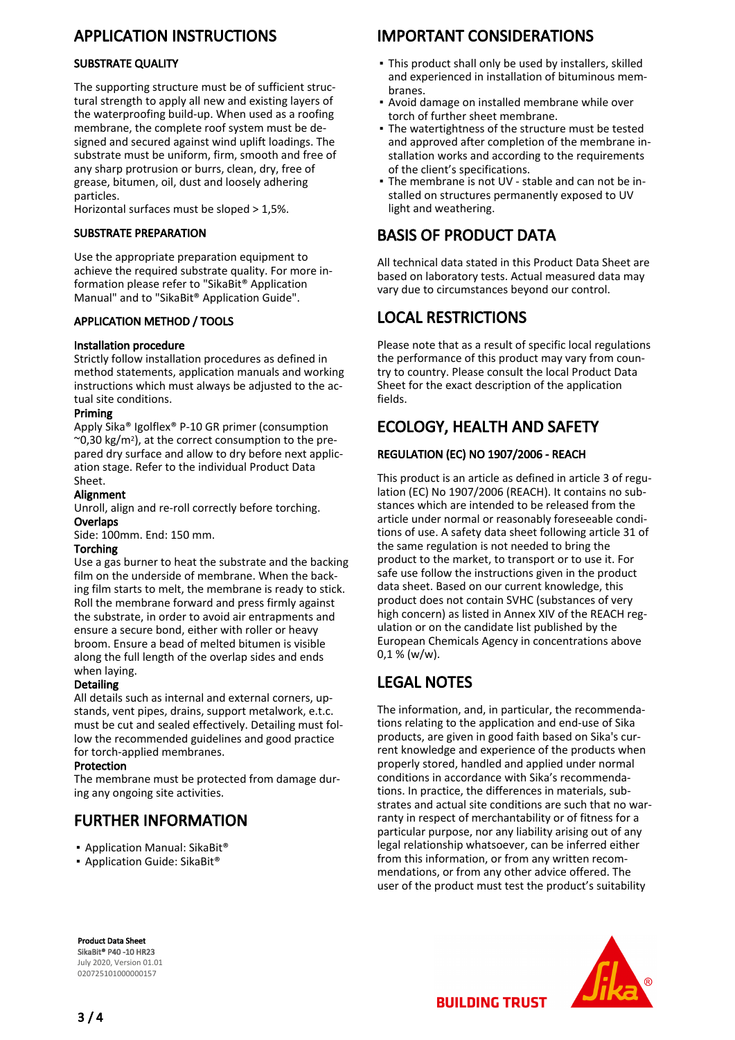# APPLICATION INSTRUCTIONS

#### SUBSTRATE QUALITY

The supporting structure must be of sufficient structural strength to apply all new and existing layers of the waterproofing build-up. When used as a roofing membrane, the complete roof system must be designed and secured against wind uplift loadings. The substrate must be uniform, firm, smooth and free of any sharp protrusion or burrs, clean, dry, free of grease, bitumen, oil, dust and loosely adhering particles.

Horizontal surfaces must be sloped > 1,5%.

#### SUBSTRATE PREPARATION

Use the appropriate preparation equipment to achieve the required substrate quality. For more information please refer to "SikaBit® Application Manual" and to "SikaBit® Application Guide".

#### APPLICATION METHOD / TOOLS

#### Installation procedure

Strictly follow installation procedures as defined in method statements, application manuals and working instructions which must always be adjusted to the actual site conditions.

#### Priming

Apply Sika® Igolflex® P-10 GR primer (consumption  $\sim$ 0,30 kg/m<sup>2</sup>), at the correct consumption to the prepared dry surface and allow to dry before next application stage. Refer to the individual Product Data Sheet.

### Alignment

Unroll, align and re-roll correctly before torching. **Overlaps** 

Side: 100mm. End: 150 mm.

#### Torching

Use a gas burner to heat the substrate and the backing film on the underside of membrane. When the backing film starts to melt, the membrane is ready to stick. Roll the membrane forward and press firmly against the substrate, in order to avoid air entrapments and ensure a secure bond, either with roller or heavy broom. Ensure a bead of melted bitumen is visible along the full length of the overlap sides and ends when laying.

#### Detailing

All details such as internal and external corners, upstands, vent pipes, drains, support metalwork, e.t.c. must be cut and sealed effectively. Detailing must follow the recommended guidelines and good practice for torch-applied membranes.

#### Protection

The membrane must be protected from damage during any ongoing site activities.

# FURTHER INFORMATION

- Application Manual: SikaBit®
- Application Guide: SikaBit<sup>®</sup>

# IMPORTANT CONSIDERATIONS

- This product shall only be used by installers, skilled and experienced in installation of bituminous membranes.
- Avoid damage on installed membrane while over torch of further sheet membrane.
- **The watertightness of the structure must be tested** and approved after completion of the membrane installation works and according to the requirements of the client's specifications.
- The membrane is not UV stable and can not be in-▪ stalled on structures permanently exposed to UV light and weathering.

# BASIS OF PRODUCT DATA

All technical data stated in this Product Data Sheet are based on laboratory tests. Actual measured data may vary due to circumstances beyond our control.

# LOCAL RESTRICTIONS

Please note that as a result of specific local regulations the performance of this product may vary from country to country. Please consult the local Product Data Sheet for the exact description of the application fields.

# ECOLOGY, HEALTH AND SAFETY

#### REGULATION (EC) NO 1907/2006 - REACH

This product is an article as defined in article 3 of regulation (EC) No 1907/2006 (REACH). It contains no substances which are intended to be released from the article under normal or reasonably foreseeable conditions of use. A safety data sheet following article 31 of the same regulation is not needed to bring the product to the market, to transport or to use it. For safe use follow the instructions given in the product data sheet. Based on our current knowledge, this product does not contain SVHC (substances of very high concern) as listed in Annex XIV of the REACH regulation or on the candidate list published by the European Chemicals Agency in concentrations above  $0.1 % (w/w).$ 

# LEGAL NOTES

The information, and, in particular, the recommendations relating to the application and end-use of Sika products, are given in good faith based on Sika's current knowledge and experience of the products when properly stored, handled and applied under normal conditions in accordance with Sika's recommendations. In practice, the differences in materials, substrates and actual site conditions are such that no warranty in respect of merchantability or of fitness for a particular purpose, nor any liability arising out of any legal relationship whatsoever, can be inferred either from this information, or from any written recommendations, or from any other advice offered. The user of the product must test the product's suitability

Product Data Sheet SikaBit® P40 -10 HR23 July 2020, Version 01.01 020725101000000157



**BUILDING TRUST**